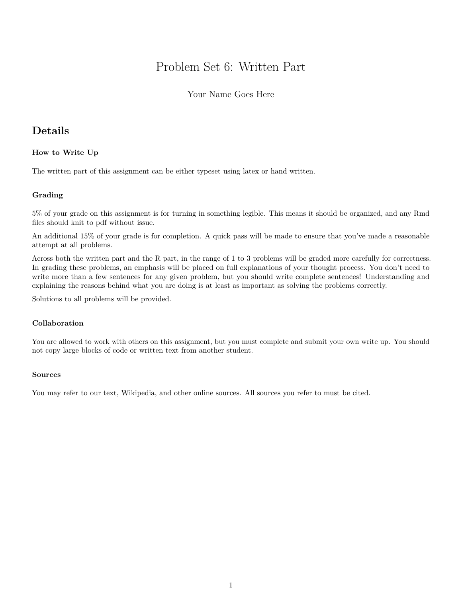# Problem Set 6: Written Part

## Your Name Goes Here

# **Details**

## **How to Write Up**

The written part of this assignment can be either typeset using latex or hand written.

### **Grading**

5% of your grade on this assignment is for turning in something legible. This means it should be organized, and any Rmd files should knit to pdf without issue.

An additional 15% of your grade is for completion. A quick pass will be made to ensure that you've made a reasonable attempt at all problems.

Across both the written part and the R part, in the range of 1 to 3 problems will be graded more carefully for correctness. In grading these problems, an emphasis will be placed on full explanations of your thought process. You don't need to write more than a few sentences for any given problem, but you should write complete sentences! Understanding and explaining the reasons behind what you are doing is at least as important as solving the problems correctly.

Solutions to all problems will be provided.

## **Collaboration**

You are allowed to work with others on this assignment, but you must complete and submit your own write up. You should not copy large blocks of code or written text from another student.

### **Sources**

You may refer to our text, Wikipedia, and other online sources. All sources you refer to must be cited.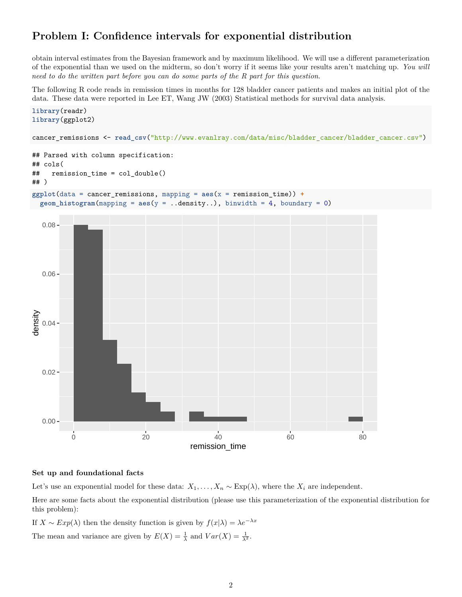# **Problem I: Confidence intervals for exponential distribution**

obtain interval estimates from the Bayesian framework and by maximum likelihood. We will use a different parameterization of the exponential than we used on the midterm, so don't worry if it seems like your results aren't matching up. *You will need to do the written part before you can do some parts of the R part for this question*.

The following R code reads in remission times in months for 128 bladder cancer patients and makes an initial plot of the data. These data were reported in Lee ET, Wang JW (2003) Statistical methods for survival data analysis.



### **Set up and foundational facts**

Let's use an exponential model for these data:  $X_1, \ldots, X_n \sim \text{Exp}(\lambda)$ , where the  $X_i$  are independent.

Here are some facts about the exponential distribution (please use this parameterization of the exponential distribution for this problem):

If  $X \sim Exp(\lambda)$  then the density function is given by  $f(x|\lambda) = \lambda e^{-\lambda x}$ 

The mean and variance are given by  $E(X) = \frac{1}{\lambda}$  and  $Var(X) = \frac{1}{\lambda^2}$ .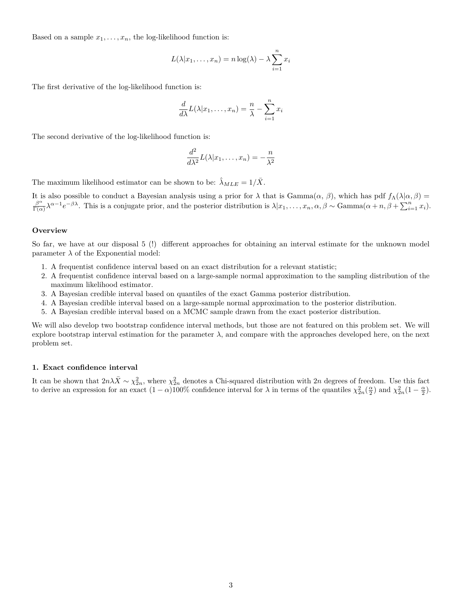Based on a sample  $x_1, \ldots, x_n$ , the log-likelihood function is:

$$
L(\lambda | x_1, \dots, x_n) = n \log(\lambda) - \lambda \sum_{i=1}^n x_i
$$

The first derivative of the log-likelihood function is:

$$
\frac{d}{d\lambda}L(\lambda|x_1,\ldots,x_n)=\frac{n}{\lambda}-\sum_{i=1}^n x_i
$$

The second derivative of the log-likelihood function is:

$$
\frac{d^2}{d\lambda^2}L(\lambda|x_1,\ldots,x_n)=-\frac{n}{\lambda^2}
$$

The maximum likelihood estimator can be shown to be:  $\hat{\lambda}_{MLE} = 1/\bar{X}$ .

It is also possible to conduct a Bayesian analysis using a prior for  $\lambda$  that is  $Gamma(\alpha, \beta)$ , which has pdf  $f_\Lambda(\lambda|\alpha, \beta)$  = *β α*  $\frac{\beta^{\alpha}}{\Gamma(\alpha)}\lambda^{\alpha-1}e^{-\beta\lambda}$ . This is a conjugate prior, and the posterior distribution is  $\lambda | x_1,\ldots,x_n,\alpha,\beta \sim \text{Gamma}(\alpha+n,\beta+\sum_{i=1}^n x_i)$ .

#### **Overview**

So far, we have at our disposal 5 (!) different approaches for obtaining an interval estimate for the unknown model parameter  $\lambda$  of the Exponential model:

- 1. A frequentist confidence interval based on an exact distribution for a relevant statistic;
- 2. A frequentist confidence interval based on a large-sample normal approximation to the sampling distribution of the maximum likelihood estimator.
- 3. A Bayesian credible interval based on quantiles of the exact Gamma posterior distribution.
- 4. A Bayesian credible interval based on a large-sample normal approximation to the posterior distribution.
- 5. A Bayesian credible interval based on a MCMC sample drawn from the exact posterior distribution.

We will also develop two bootstrap confidence interval methods, but those are not featured on this problem set. We will explore bootstrap interval estimation for the parameter  $\lambda$ , and compare with the approaches developed here, on the next problem set.

#### **1. Exact confidence interval**

It can be shown that  $2n\lambda \bar{X} \sim \chi^2_{2n}$ , where  $\chi^2_{2n}$  denotes a Chi-squared distribution with 2*n* degrees of freedom. Use this fact to derive an expression for an exact  $(1 - \alpha)100\%$  confidence interval for  $\lambda$  in terms of the quantiles  $\chi^2_{2n}(\frac{\alpha}{2})$  and  $\chi^2_{2n}(1 - \frac{\alpha}{2})$ .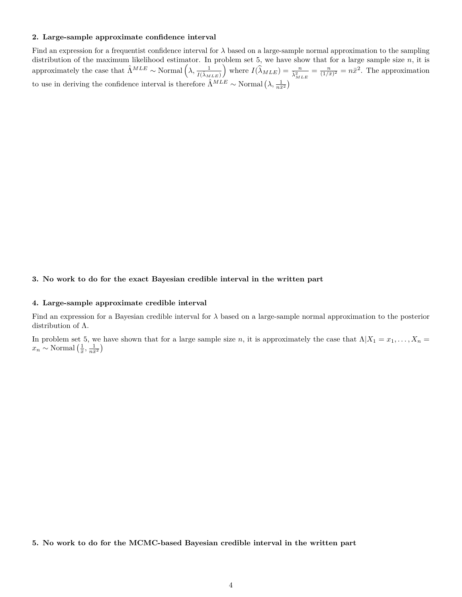#### **2. Large-sample approximate confidence interval**

Find an expression for a frequentist confidence interval for  $\lambda$  based on a large-sample normal approximation to the sampling distribution of the maximum likelihood estimator. In problem set 5, we have show that for a large sample size *n*, it is approximately the case that  $\hat{\Lambda}^{MLE} \sim \text{Normal}\left(\lambda, \frac{1}{I(\hat{\lambda}_{MLE})}\right)$ where  $I(\widehat{\lambda}_{MLE}) = \frac{n}{\widehat{\lambda}_{MLE}^2} = \frac{n}{(1/\bar{x})^2} = n\bar{x}^2$ . The approximation to use in deriving the confidence interval is therefore  $\hat{\Lambda}^{MLE} \sim \text{Normal}(\lambda, \frac{1}{n\bar{x}^2})$ 

### **3. No work to do for the exact Bayesian credible interval in the written part**

#### **4. Large-sample approximate credible interval**

Find an expression for a Bayesian credible interval for *λ* based on a large-sample normal approximation to the posterior distribution of Λ.

In problem set 5, we have shown that for a large sample size *n*, it is approximately the case that  $\Lambda | X_1 = x_1, \ldots, X_n =$  $x_n \sim \text{Normal}\left(\frac{1}{\bar{x}}, \frac{1}{n\bar{x}^2}\right)$ 

**5. No work to do for the MCMC-based Bayesian credible interval in the written part**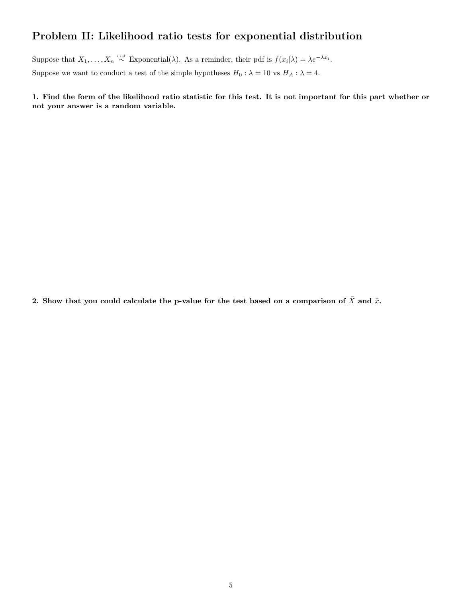# **Problem II: Likelihood ratio tests for exponential distribution**

Suppose that  $X_1, \ldots, X_n \stackrel{\text{i.i.d.}}{\sim} \text{Exponential}(\lambda)$ . As a reminder, their pdf is  $f(x_i|\lambda) = \lambda e^{-\lambda x_i}$ . Suppose we want to conduct a test of the simple hypotheses  $H_0: \lambda = 10$  vs  $H_A: \lambda = 4$ .

**1. Find the form of the likelihood ratio statistic for this test. It is not important for this part whether or not your answer is a random variable.**

**2.** Show that you could calculate the p-value for the test based on a comparison of  $\bar{X}$  and  $\bar{x}$ **.**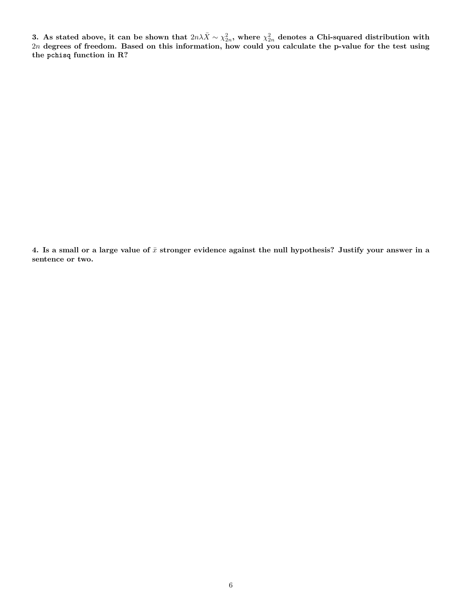**3.** As stated above, it can be shown that  $2n\lambda \bar{X} \sim \chi^2_{2n}$ , where  $\chi^2_{2n}$  denotes a Chi-squared distribution with 2*n* **degrees of freedom. Based on this information, how could you calculate the p-value for the test using the pchisq function in R?**

4. Is a small or a large value of  $\bar{x}$  stronger evidence against the null hypothesis? Justify your answer in a **sentence or two.**